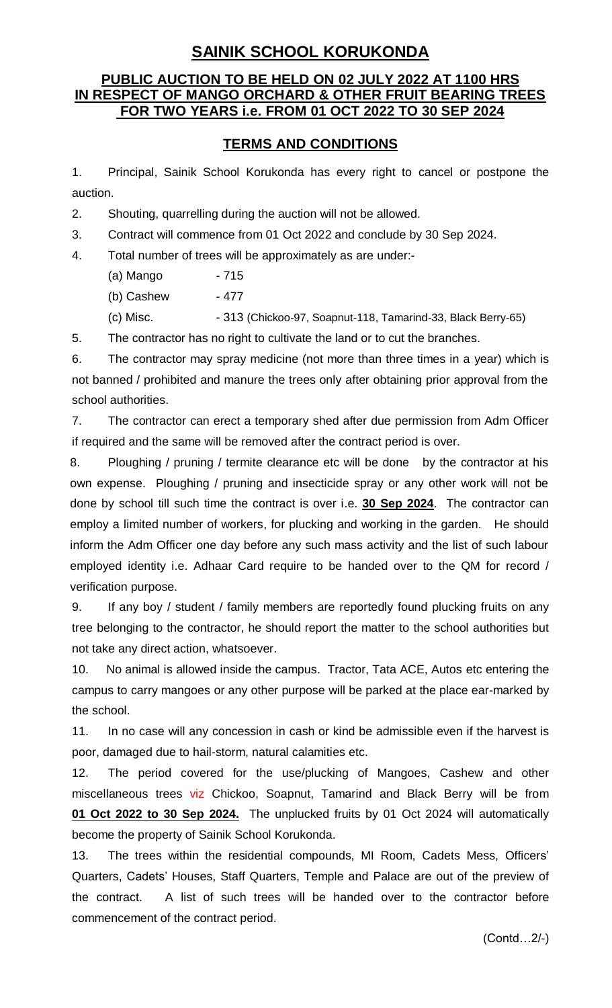## **SAINIK SCHOOL KORUKONDA**

## **PUBLIC AUCTION TO BE HELD ON 02 JULY 2022 AT 1100 HRS IN RESPECT OF MANGO ORCHARD & OTHER FRUIT BEARING TREES FOR TWO YEARS i.e. FROM 01 OCT 2022 TO 30 SEP 2024**

## **TERMS AND CONDITIONS**

1. Principal, Sainik School Korukonda has every right to cancel or postpone the auction.

2. Shouting, quarrelling during the auction will not be allowed.

3. Contract will commence from 01 Oct 2022 and conclude by 30 Sep 2024.

4. Total number of trees will be approximately as are under:-

(a) Mango - 715

(b) Cashew - 477

(c) Misc. - 313 (Chickoo-97, Soapnut-118, Tamarind-33, Black Berry-65)

5. The contractor has no right to cultivate the land or to cut the branches.

6. The contractor may spray medicine (not more than three times in a year) which is not banned / prohibited and manure the trees only after obtaining prior approval from the school authorities.

7. The contractor can erect a temporary shed after due permission from Adm Officer if required and the same will be removed after the contract period is over.

8. Ploughing / pruning / termite clearance etc will be done by the contractor at his own expense. Ploughing / pruning and insecticide spray or any other work will not be done by school till such time the contract is over i.e. **30 Sep 2024**. The contractor can employ a limited number of workers, for plucking and working in the garden. He should inform the Adm Officer one day before any such mass activity and the list of such labour employed identity i.e. Adhaar Card require to be handed over to the QM for record / verification purpose.

9. If any boy / student / family members are reportedly found plucking fruits on any tree belonging to the contractor, he should report the matter to the school authorities but not take any direct action, whatsoever.

10. No animal is allowed inside the campus. Tractor, Tata ACE, Autos etc entering the campus to carry mangoes or any other purpose will be parked at the place ear-marked by the school.

11. In no case will any concession in cash or kind be admissible even if the harvest is poor, damaged due to hail-storm, natural calamities etc.

12. The period covered for the use/plucking of Mangoes, Cashew and other miscellaneous trees viz Chickoo, Soapnut, Tamarind and Black Berry will be from **01 Oct 2022 to 30 Sep 2024.** The unplucked fruits by 01 Oct 2024 will automatically become the property of Sainik School Korukonda.

13. The trees within the residential compounds, MI Room, Cadets Mess, Officers' Quarters, Cadets' Houses, Staff Quarters, Temple and Palace are out of the preview of the contract. A list of such trees will be handed over to the contractor before commencement of the contract period.